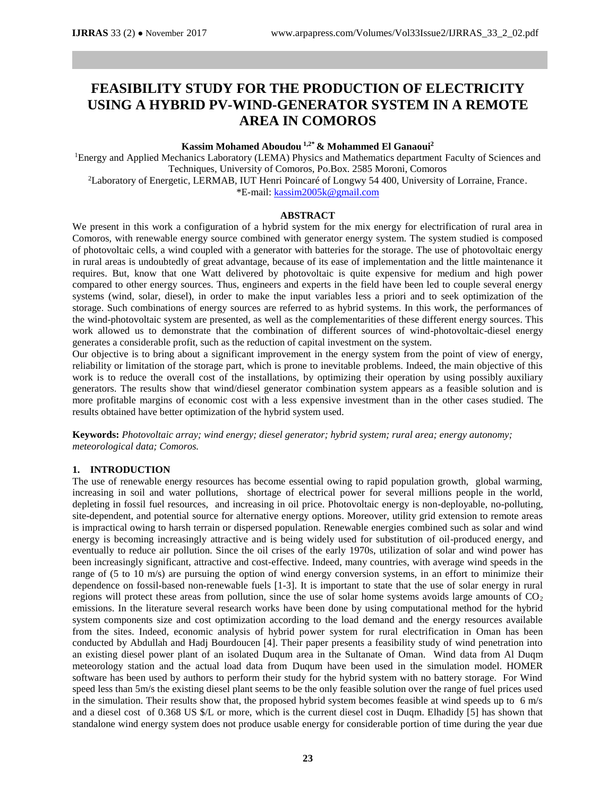# **FEASIBILITY STUDY FOR THE PRODUCTION OF ELECTRICITY USING A HYBRID PV-WIND-GENERATOR SYSTEM IN A REMOTE AREA IN COMOROS**

# **Kassim Mohamed Aboudou 1,2\* & Mohammed El Ganaoui<sup>2</sup>**

<sup>1</sup>Energy and Applied Mechanics Laboratory (LEMA) Physics and Mathematics department Faculty of Sciences and Techniques, University of Comoros, Po.Box. 2585 Moroni, Comoros <sup>2</sup>Laboratory of Energetic, LERMAB, IUT Henri Poincaré of Longwy 54 400, University of Lorraine, France. \*E-mail[: kassim2005k@gmail.com](mailto:kassim2005k@gmail.com)

# **ABSTRACT**

We present in this work a configuration of a hybrid system for the mix energy for electrification of rural area in Comoros, with renewable energy source combined with generator energy system. The system studied is composed of photovoltaic cells, a wind coupled with a generator with batteries for the storage. The use of photovoltaic energy in rural areas is undoubtedly of great advantage, because of its ease of implementation and the little maintenance it requires. But, know that one Watt delivered by photovoltaic is quite expensive for medium and high power compared to other energy sources. Thus, engineers and experts in the field have been led to couple several energy systems (wind, solar, diesel), in order to make the input variables less a priori and to seek optimization of the storage. Such combinations of energy sources are referred to as hybrid systems. In this work, the performances of the wind-photovoltaic system are presented, as well as the complementarities of these different energy sources. This work allowed us to demonstrate that the combination of different sources of wind-photovoltaic-diesel energy generates a considerable profit, such as the reduction of capital investment on the system.

Our objective is to bring about a significant improvement in the energy system from the point of view of energy, reliability or limitation of the storage part, which is prone to inevitable problems. Indeed, the main objective of this work is to reduce the overall cost of the installations, by optimizing their operation by using possibly auxiliary generators. The results show that wind/diesel generator combination system appears as a feasible solution and is more profitable margins of economic cost with a less expensive investment than in the other cases studied. The results obtained have better optimization of the hybrid system used.

**Keywords:** *Photovoltaic array; wind energy; diesel generator; hybrid system; rural area; energy autonomy; meteorological data; Comoros.*

#### **1. INTRODUCTION**

The use of renewable energy resources has become essential owing to rapid population growth, global warming, increasing in soil and water pollutions, shortage of electrical power for several millions people in the world, depleting in fossil fuel resources, and increasing in oil price. Photovoltaic energy is non-deployable, no-polluting, site-dependent, and potential source for alternative energy options. Moreover, utility grid extension to remote areas is impractical owing to harsh terrain or dispersed population. Renewable energies combined such as solar and wind energy is becoming increasingly attractive and is being widely used for substitution of oil-produced energy, and eventually to reduce air pollution. Since the oil crises of the early 1970s, utilization of solar and wind power has been increasingly significant, attractive and cost-effective. Indeed, many countries, with average wind speeds in the range of (5 to 10 m/s) are pursuing the option of wind energy conversion systems, in an effort to minimize their dependence on fossil-based non-renewable fuels [1-3]. It is important to state that the use of solar energy in rural regions will protect these areas from pollution, since the use of solar home systems avoids large amounts of  $CO<sub>2</sub>$ emissions. In the literature several research works have been done by using computational method for the hybrid system components size and cost optimization according to the load demand and the energy resources available from the sites. Indeed, economic analysis of hybrid power system for rural electrification in Oman has been conducted by Abdullah and Hadj Bourdoucen [4]. Their paper presents a feasibility study of wind penetration into an existing diesel power plant of an isolated Duqum area in the Sultanate of Oman. Wind data from Al Duqm meteorology station and the actual load data from Duqum have been used in the simulation model. HOMER software has been used by authors to perform their study for the hybrid system with no battery storage. For Wind speed less than 5m/s the existing diesel plant seems to be the only feasible solution over the range of fuel prices used in the simulation. Their results show that, the proposed hybrid system becomes feasible at wind speeds up to 6 m/s and a diesel cost of 0.368 US \$/L or more, which is the current diesel cost in Duqm. Elhadidy [5] has shown that standalone wind energy system does not produce usable energy for considerable portion of time during the year due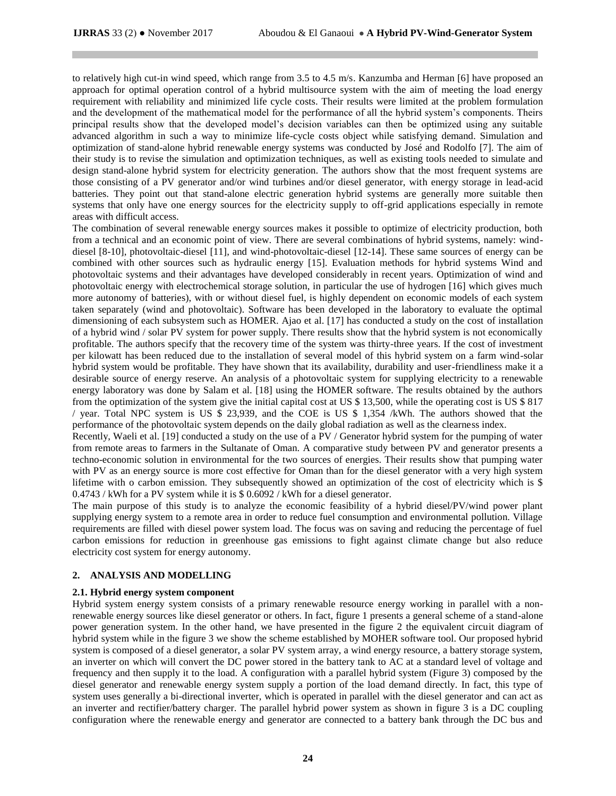to relatively high cut-in wind speed, which range from 3.5 to 4.5 m/s. Kanzumba and Herman [6] have proposed an approach for optimal operation control of a hybrid multisource system with the aim of meeting the load energy requirement with reliability and minimized life cycle costs. Their results were limited at the problem formulation and the development of the mathematical model for the performance of all the hybrid system's components. Theirs principal results show that the developed model's decision variables can then be optimized using any suitable advanced algorithm in such a way to minimize life-cycle costs object while satisfying demand. Simulation and optimization of stand-alone hybrid renewable energy systems was conducted by José and Rodolfo [7]. The aim of their study is to revise the simulation and optimization techniques, as well as existing tools needed to simulate and design stand-alone hybrid system for electricity generation. The authors show that the most frequent systems are those consisting of a PV generator and/or wind turbines and/or diesel generator, with energy storage in lead-acid batteries. They point out that stand-alone electric generation hybrid systems are generally more suitable then systems that only have one energy sources for the electricity supply to off-grid applications especially in remote areas with difficult access.

The combination of several renewable energy sources makes it possible to optimize of electricity production, both from a technical and an economic point of view. There are several combinations of hybrid systems, namely: winddiesel [8-10], photovoltaic-diesel [11], and wind-photovoltaic-diesel [12-14]. These same sources of energy can be combined with other sources such as hydraulic energy [15]. Evaluation methods for hybrid systems Wind and photovoltaic systems and their advantages have developed considerably in recent years. Optimization of wind and photovoltaic energy with electrochemical storage solution, in particular the use of hydrogen [16] which gives much more autonomy of batteries), with or without diesel fuel, is highly dependent on economic models of each system taken separately (wind and photovoltaic). Software has been developed in the laboratory to evaluate the optimal dimensioning of each subsystem such as HOMER. Ajao et al. [17] has conducted a study on the cost of installation of a hybrid wind / solar PV system for power supply. There results show that the hybrid system is not economically profitable. The authors specify that the recovery time of the system was thirty-three years. If the cost of investment per kilowatt has been reduced due to the installation of several model of this hybrid system on a farm wind-solar hybrid system would be profitable. They have shown that its availability, durability and user-friendliness make it a desirable source of energy reserve. An analysis of a photovoltaic system for supplying electricity to a renewable energy laboratory was done by Salam et al. [18] using the HOMER software. The results obtained by the authors from the optimization of the system give the initial capital cost at US \$ 13,500, while the operating cost is US \$ 817 / year. Total NPC system is US \$ 23,939, and the COE is US \$ 1,354 /kWh. The authors showed that the performance of the photovoltaic system depends on the daily global radiation as well as the clearness index.

Recently, Waeli et al. [19] conducted a study on the use of a PV / Generator hybrid system for the pumping of water from remote areas to farmers in the Sultanate of Oman. A comparative study between PV and generator presents a techno-economic solution in environmental for the two sources of energies. Their results show that pumping water with PV as an energy source is more cost effective for Oman than for the diesel generator with a very high system lifetime with o carbon emission. They subsequently showed an optimization of the cost of electricity which is \$ 0.4743 / kWh for a PV system while it is \$ 0.6092 / kWh for a diesel generator.

The main purpose of this study is to analyze the economic feasibility of a hybrid diesel/PV/wind power plant supplying energy system to a remote area in order to reduce fuel consumption and environmental pollution. Village requirements are filled with diesel power system load. The focus was on saving and reducing the percentage of fuel carbon emissions for reduction in greenhouse gas emissions to fight against climate change but also reduce electricity cost system for energy autonomy.

# **2. ANALYSIS AND MODELLING**

#### **2.1. Hybrid energy system component**

Hybrid system energy system consists of a primary renewable resource energy working in parallel with a nonrenewable energy sources like diesel generator or others. In fact, figure 1 presents a general scheme of a stand-alone power generation system. In the other hand, we have presented in the figure 2 the equivalent circuit diagram of hybrid system while in the figure 3 we show the scheme established by MOHER software tool. Our proposed hybrid system is composed of a diesel generator, a solar PV system array, a wind energy resource, a battery storage system, an inverter on which will convert the DC power stored in the battery tank to AC at a standard level of voltage and frequency and then supply it to the load. A configuration with a parallel hybrid system (Figure 3) composed by the diesel generator and renewable energy system supply a portion of the load demand directly. In fact, this type of system uses generally a bi-directional inverter, which is operated in parallel with the diesel generator and can act as an inverter and rectifier/battery charger. The parallel hybrid power system as shown in figure 3 is a DC coupling configuration where the renewable energy and generator are connected to a battery bank through the DC bus and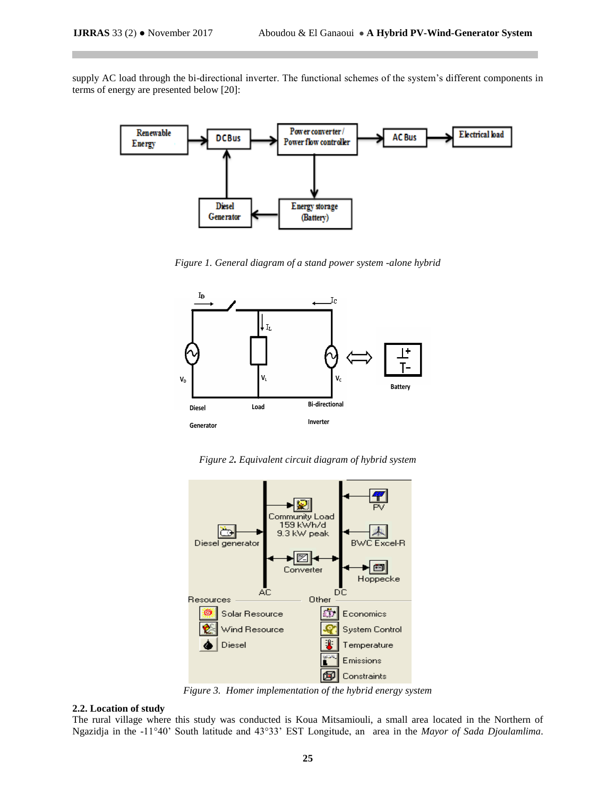supply AC load through the bi-directional inverter. The functional schemes of the system's different components in terms of energy are presented below [20]:



*Figure 1. General diagram of a stand power system -alone hybrid*



*Figure 2. Equivalent circuit diagram of hybrid system*



*Figure 3. Homer implementation of the hybrid energy system*

## **2.2. Location of study**

The rural village where this study was conducted is Koua Mitsamiouli, a small area located in the Northern of Ngazidja in the -11°40' South latitude and 43°33' EST Longitude, an area in the *Mayor of Sada Djoulamlima*.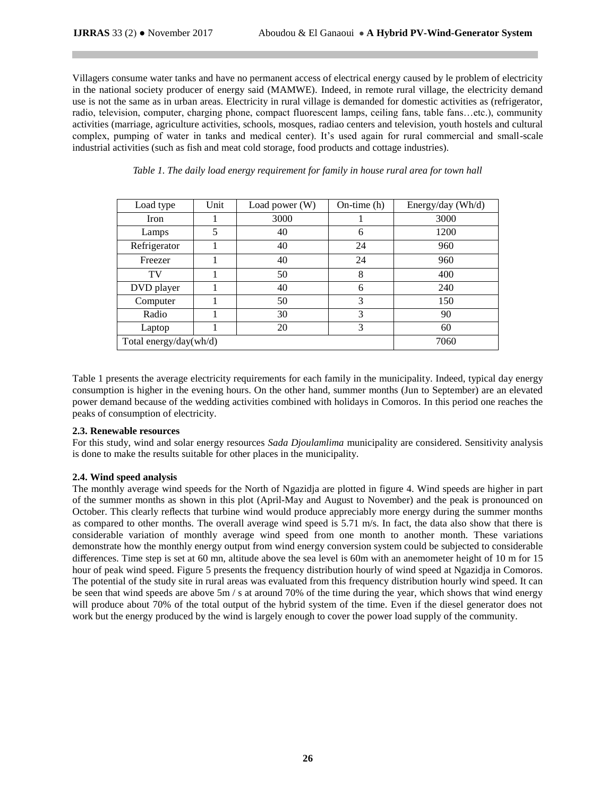Villagers consume water tanks and have no permanent access of electrical energy caused by le problem of electricity in the national society producer of energy said (MAMWE). Indeed, in remote rural village, the electricity demand use is not the same as in urban areas. Electricity in rural village is demanded for domestic activities as (refrigerator, radio, television, computer, charging phone, compact fluorescent lamps, ceiling fans, table fans…etc.), community activities (marriage, agriculture activities, schools, mosques, radiao centers and television, youth hostels and cultural complex, pumping of water in tanks and medical center). It's used again for rural commercial and small-scale industrial activities (such as fish and meat cold storage, food products and cottage industries).

| Load type              | Unit | Load power (W) | On-time $(h)$ | Energy/day (Wh/d) |
|------------------------|------|----------------|---------------|-------------------|
| <b>Iron</b>            |      | 3000           |               | 3000              |
| Lamps                  | 5    | 40             | 6             | 1200              |
| Refrigerator           |      | 40             | 24            | 960               |
| Freezer                |      | 40             | 24            | 960               |
| TV                     |      | 50             | 8             | 400               |
| DVD player             |      | 40             | 6             | 240               |
| Computer               |      | 50             | 3             | 150               |
| Radio                  |      | 30             | 3             | 90                |
| Laptop                 |      | 20             | 3             | 60                |
| Total energy/day(wh/d) | 7060 |                |               |                   |

# *Table 1. The daily load energy requirement for family in house rural area for town hall*

Table 1 presents the average electricity requirements for each family in the municipality. Indeed, typical day energy consumption is higher in the evening hours. On the other hand, summer months (Jun to September) are an elevated power demand because of the wedding activities combined with holidays in Comoros. In this period one reaches the peaks of consumption of electricity.

#### **2.3. Renewable resources**

For this study, wind and solar energy resources *Sada Djoulamlima* municipality are considered. Sensitivity analysis is done to make the results suitable for other places in the municipality.

#### **2.4. Wind speed analysis**

The monthly average wind speeds for the North of Ngazidja are plotted in figure 4. Wind speeds are higher in part of the summer months as shown in this plot (April-May and August to November) and the peak is pronounced on October. This clearly reflects that turbine wind would produce appreciably more energy during the summer months as compared to other months. The overall average wind speed is 5.71 m/s. In fact, the data also show that there is considerable variation of monthly average wind speed from one month to another month. These variations demonstrate how the monthly energy output from wind energy conversion system could be subjected to considerable differences. Time step is set at 60 mn, altitude above the sea level is 60m with an anemometer height of 10 m for 15 hour of peak wind speed. Figure 5 presents the frequency distribution hourly of wind speed at Ngazidja in Comoros. The potential of the study site in rural areas was evaluated from this frequency distribution hourly wind speed. It can be seen that wind speeds are above 5m / s at around 70% of the time during the year, which shows that wind energy will produce about 70% of the total output of the hybrid system of the time. Even if the diesel generator does not work but the energy produced by the wind is largely enough to cover the power load supply of the community.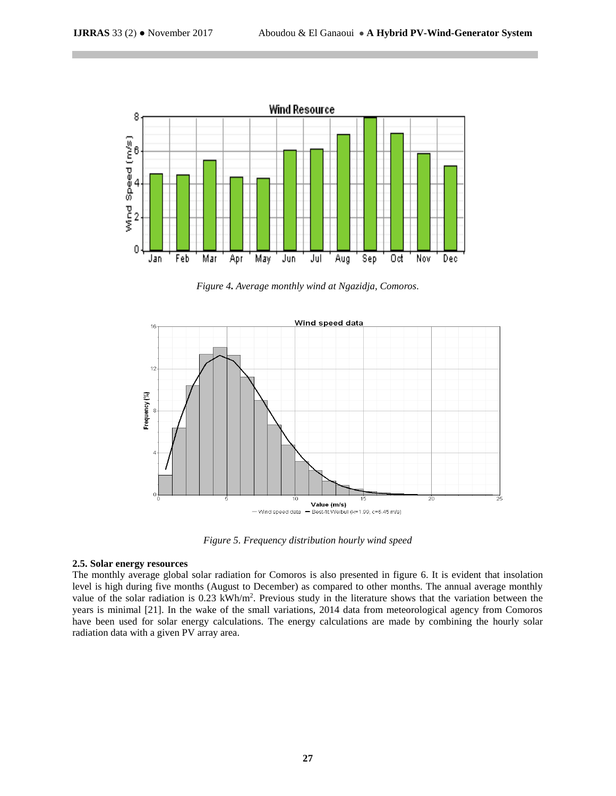

*Figure 4. Average monthly wind at Ngazidja, Comoros.*



*Figure 5. Frequency distribution hourly wind speed*

# **2.5. Solar energy resources**

The monthly average global solar radiation for Comoros is also presented in figure 6. It is evident that insolation level is high during five months (August to December) as compared to other months. The annual average monthly value of the solar radiation is  $0.23 \text{ kWh/m}^2$ . Previous study in the literature shows that the variation between the years is minimal [21]. In the wake of the small variations, 2014 data from meteorological agency from Comoros have been used for solar energy calculations. The energy calculations are made by combining the hourly solar radiation data with a given PV array area.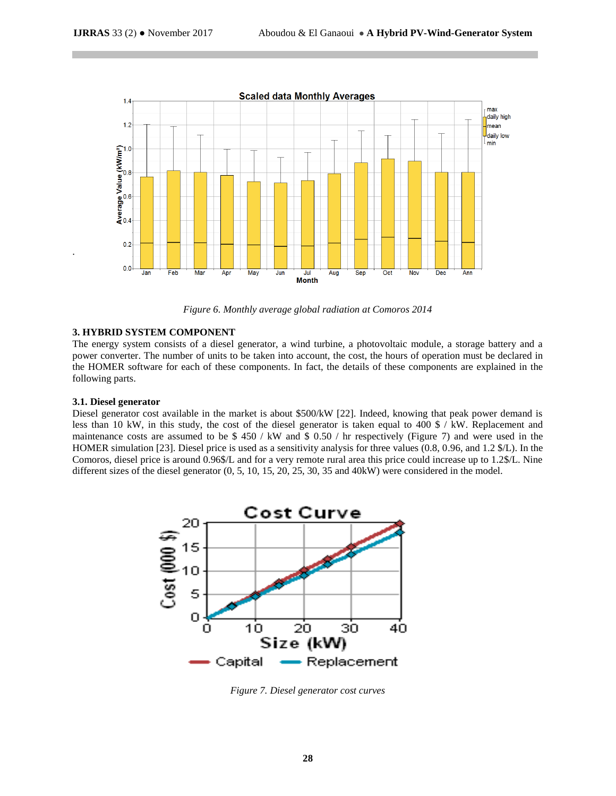

*Figure 6. Monthly average global radiation at Comoros 2014*

## **3. HYBRID SYSTEM COMPONENT**

The energy system consists of a diesel generator, a wind turbine, a photovoltaic module, a storage battery and a power converter. The number of units to be taken into account, the cost, the hours of operation must be declared in the HOMER software for each of these components. In fact, the details of these components are explained in the following parts.

## **3.1. Diesel generator**

.

Diesel generator cost available in the market is about \$500/kW [22]. Indeed, knowing that peak power demand is less than 10 kW, in this study, the cost of the diesel generator is taken equal to 400 \$ / kW. Replacement and maintenance costs are assumed to be  $$ 450 / kW$  and  $$ 0.50 / hr$  respectively (Figure 7) and were used in the HOMER simulation [23]. Diesel price is used as a sensitivity analysis for three values (0.8, 0.96, and 1.2 \$/L). In the Comoros, diesel price is around 0.96\$/L and for a very remote rural area this price could increase up to 1.2\$/L. Nine different sizes of the diesel generator (0, 5, 10, 15, 20, 25, 30, 35 and 40kW) were considered in the model.



*Figure 7. Diesel generator cost curves*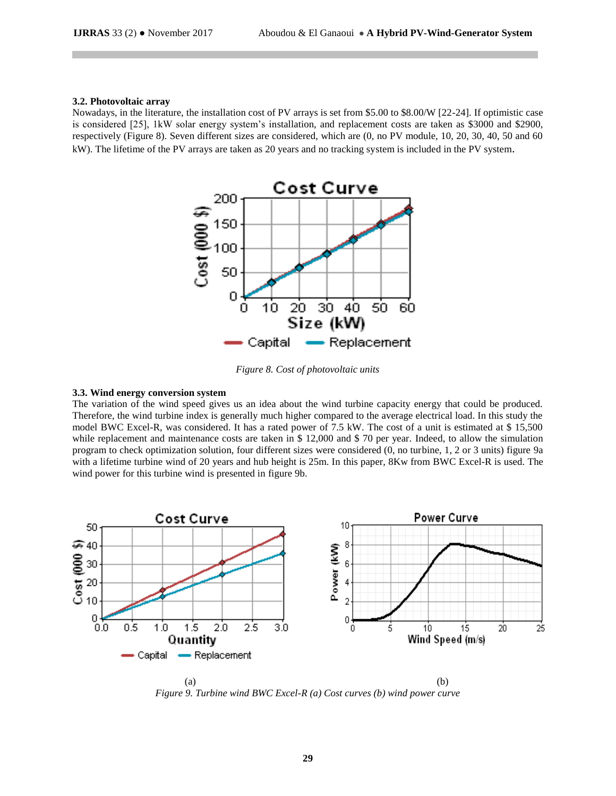## **3.2. Photovoltaic array**

Nowadays, in the literature, the installation cost of PV arrays is set from \$5.00 to \$8.00/W [22-24]. If optimistic case is considered [25], 1kW solar energy system's installation, and replacement costs are taken as \$3000 and \$2900, respectively (Figure 8). Seven different sizes are considered, which are (0, no PV module, 10, 20, 30, 40, 50 and 60 kW). The lifetime of the PV arrays are taken as 20 years and no tracking system is included in the PV system.



*Figure 8. Cost of photovoltaic units*

## **3.3. Wind energy conversion system**

The variation of the wind speed gives us an idea about the wind turbine capacity energy that could be produced. Therefore, the wind turbine index is generally much higher compared to the average electrical load. In this study the model BWC Excel-R, was considered. It has a rated power of 7.5 kW. The cost of a unit is estimated at \$ 15,500 while replacement and maintenance costs are taken in \$ 12,000 and \$ 70 per year. Indeed, to allow the simulation program to check optimization solution, four different sizes were considered (0, no turbine, 1, 2 or 3 units) figure 9a with a lifetime turbine wind of 20 years and hub height is 25m. In this paper, 8Kw from BWC Excel-R is used. The wind power for this turbine wind is presented in figure 9b.



 $(a)$  (b) *Figure 9. Turbine wind BWC Excel-R (a) Cost curves (b) wind power curve*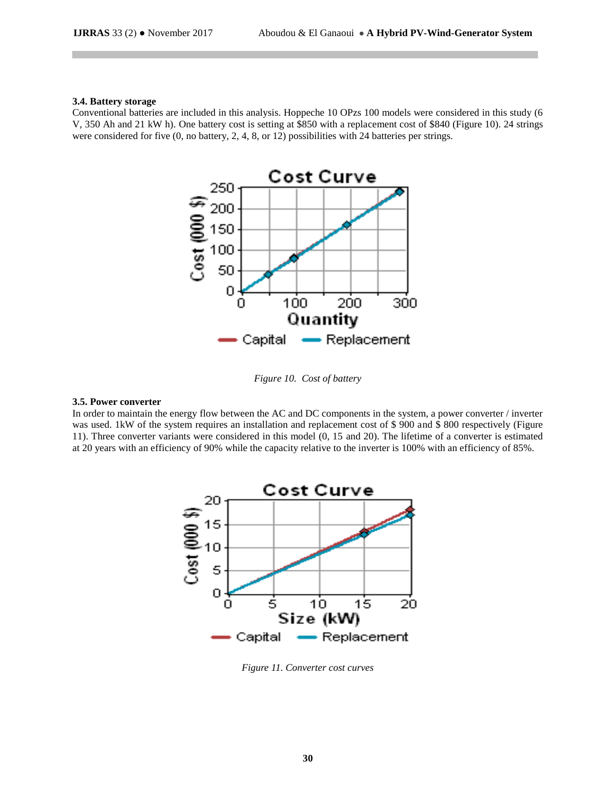#### **3.4. Battery storage**

Conventional batteries are included in this analysis. Hoppeche 10 OPzs 100 models were considered in this study (6 V, 350 Ah and 21 kW h). One battery cost is setting at \$850 with a replacement cost of \$840 (Figure 10). 24 strings were considered for five (0, no battery, 2, 4, 8, or 12) possibilities with 24 batteries per strings.



*Figure 10. Cost of battery*

#### **3.5. Power converter**

In order to maintain the energy flow between the AC and DC components in the system, a power converter / inverter was used. 1kW of the system requires an installation and replacement cost of \$900 and \$800 respectively (Figure 11). Three converter variants were considered in this model (0, 15 and 20). The lifetime of a converter is estimated at 20 years with an efficiency of 90% while the capacity relative to the inverter is 100% with an efficiency of 85%.



*Figure 11. Converter cost curves*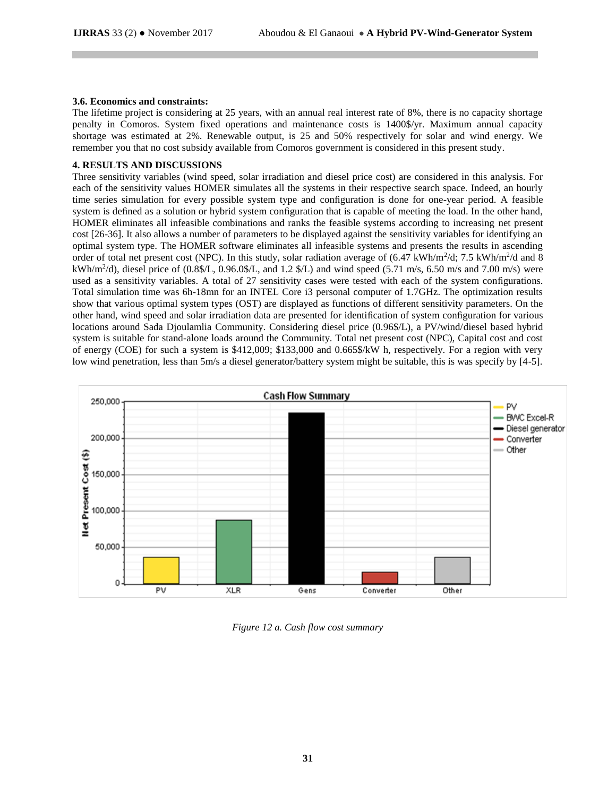## **3.6. Economics and constraints:**

The lifetime project is considering at 25 years, with an annual real interest rate of 8%, there is no capacity shortage penalty in Comoros. System fixed operations and maintenance costs is 1400\$/yr. Maximum annual capacity shortage was estimated at 2%. Renewable output, is 25 and 50% respectively for solar and wind energy. We remember you that no cost subsidy available from Comoros government is considered in this present study.

## **4. RESULTS AND DISCUSSIONS**

Three sensitivity variables (wind speed, solar irradiation and diesel price cost) are considered in this analysis. For each of the sensitivity values HOMER simulates all the systems in their respective search space. Indeed, an hourly time series simulation for every possible system type and configuration is done for one-year period. A feasible system is defined as a solution or hybrid system configuration that is capable of meeting the load. In the other hand, HOMER eliminates all infeasible combinations and ranks the feasible systems according to increasing net present cost [26-36]. It also allows a number of parameters to be displayed against the sensitivity variables for identifying an optimal system type. The HOMER software eliminates all infeasible systems and presents the results in ascending order of total net present cost (NPC). In this study, solar radiation average of  $(6.47 \text{ kWh/m}^2/\text{d}; 7.5 \text{ kWh/m}^2/\text{d}$  and 8 kWh/m<sup>2</sup> /d), diesel price of (0.8\$/L, 0.96.0\$/L, and 1.2 \$/L) and wind speed (5.71 m/s, 6.50 m/s and 7.00 m/s) were used as a sensitivity variables. A total of 27 sensitivity cases were tested with each of the system configurations. Total simulation time was 6h-18mn for an INTEL Core i3 personal computer of 1.7GHz. The optimization results show that various optimal system types (OST) are displayed as functions of different sensitivity parameters. On the other hand, wind speed and solar irradiation data are presented for identification of system configuration for various locations around Sada Djoulamlia Community. Considering diesel price (0.96\$/L), a PV/wind/diesel based hybrid system is suitable for stand-alone loads around the Community. Total net present cost (NPC), Capital cost and cost of energy (COE) for such a system is \$412,009; \$133,000 and 0.665\$/kW h, respectively. For a region with very low wind penetration, less than 5m/s a diesel generator/battery system might be suitable, this is was specify by [4-5].



*Figure 12 a. Cash flow cost summary*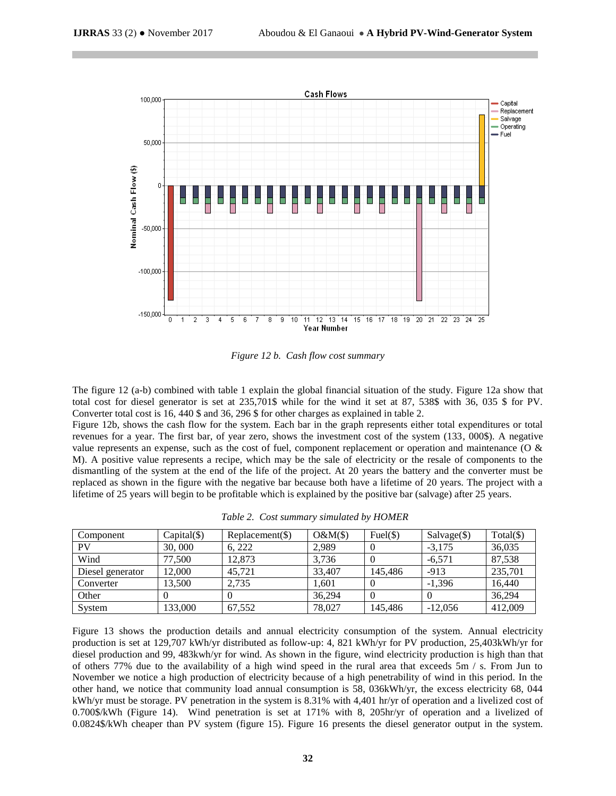

*Figure 12 b. Cash flow cost summary*

The figure 12 (a-b) combined with table 1 explain the global financial situation of the study. Figure 12a show that total cost for diesel generator is set at 235,701\$ while for the wind it set at 87, 538\$ with 36, 035 \$ for PV. Converter total cost is 16, 440 \$ and 36, 296 \$ for other charges as explained in table 2.

Figure 12b, shows the cash flow for the system. Each bar in the graph represents either total expenditures or total revenues for a year. The first bar, of year zero, shows the investment cost of the system (133, 000\$). A negative value represents an expense, such as the cost of fuel, component replacement or operation and maintenance (O & M). A positive value represents a recipe, which may be the sale of electricity or the resale of components to the dismantling of the system at the end of the life of the project. At 20 years the battery and the converter must be replaced as shown in the figure with the negative bar because both have a lifetime of 20 years. The project with a lifetime of 25 years will begin to be profitable which is explained by the positive bar (salvage) after 25 years.

| Table 2. Cost summary simulated by HOMER |  |
|------------------------------------------|--|
|                                          |  |

| Component        | $Capital(\$))$ | $Replacement(\$)$ | $O&M(\$)$ | $Fuel(\$)$ | $Salvage(\text{\$})$ | $Total(\$))$ |
|------------------|----------------|-------------------|-----------|------------|----------------------|--------------|
| PV               | 30,000         | 6.222             | 2.989     |            | $-3.175$             | 36,035       |
| Wind             | 77,500         | 12.873            | 3.736     |            | $-6.571$             | 87,538       |
| Diesel generator | 12,000         | 45.721            | 33,407    | 145.486    | $-913$               | 235,701      |
| Converter        | 13.500         | 2.735             | 1.601     |            | $-1.396$             | 16.440       |
| Other            |                |                   | 36.294    |            |                      | 36,294       |
| System           | 133.000        | 67.552            | 78,027    | 145.486    | $-12.056$            | 412,009      |

Figure 13 shows the production details and annual electricity consumption of the system. Annual electricity production is set at 129,707 kWh/yr distributed as follow-up: 4, 821 kWh/yr for PV production, 25,403kWh/yr for diesel production and 99, 483kwh/yr for wind. As shown in the figure, wind electricity production is high than that of others 77% due to the availability of a high wind speed in the rural area that exceeds 5m / s. From Jun to November we notice a high production of electricity because of a high penetrability of wind in this period. In the other hand, we notice that community load annual consumption is 58, 036kWh/yr, the excess electricity 68, 044 kWh/yr must be storage. PV penetration in the system is 8.31% with 4,401 hr/yr of operation and a livelized cost of 0.700\$/kWh (Figure 14). Wind penetration is set at 171% with 8, 205hr/yr of operation and a livelized of 0.0824\$/kWh cheaper than PV system (figure 15). Figure 16 presents the diesel generator output in the system.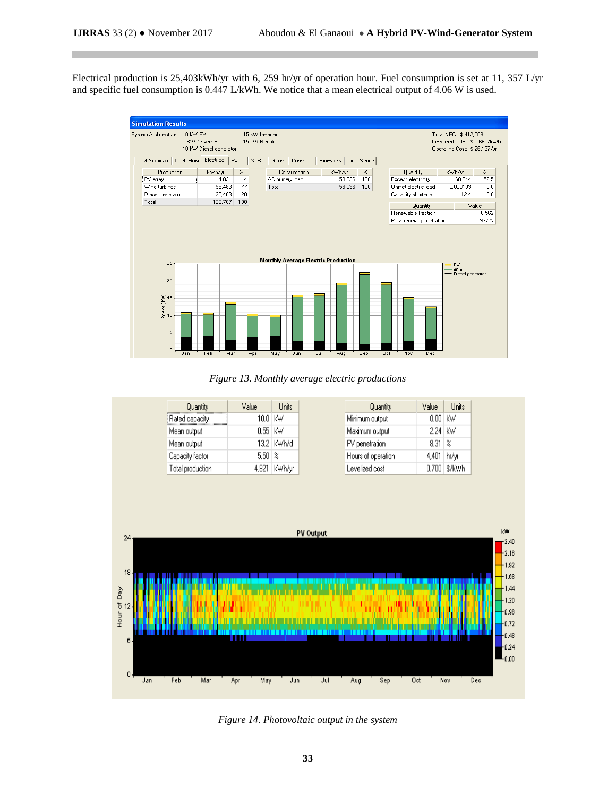Electrical production is 25,403kWh/yr with 6, 259 hr/yr of operation hour. Fuel consumption is set at 11, 357 L/yr and specific fuel consumption is 0.447 L/kWh. We notice that a mean electrical output of 4.06 W is used.



*Figure 13. Monthly average electric productions*

| Quantity         | Value     | <b>Units</b>   |
|------------------|-----------|----------------|
| Rated capacity   | 10.0 I kW |                |
| Mean output      | $0.55$ kW |                |
| Mean output      |           | 13.2   kWh/d   |
| Capacity factor  | 5.50.     | %              |
| Total production |           | 4,821   kWh/vr |

| Quantity           | Value   | Units          |
|--------------------|---------|----------------|
| Minimum output     | 0.00 kW |                |
| Maximum output     | 2.24    | kW             |
| PV penetration     | 8.31.   | -2             |
| Hours of operation | 4,401   | hr/vr          |
| Levelized cost     |         | 0.700   \$/kWh |



*Figure 14. Photovoltaic output in the system*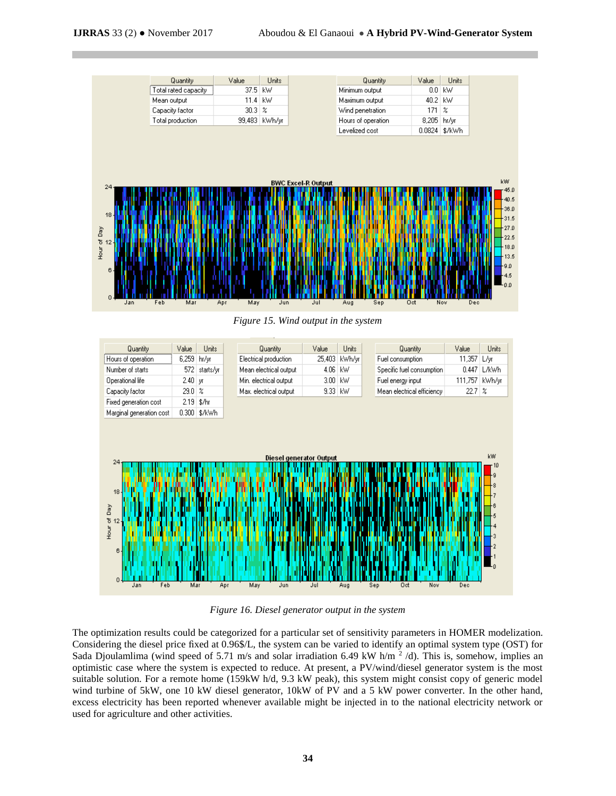

*Figure 15. Wind output in the system*

| Quantity                                                    | Value      | <b>Units</b> | Quantity               | Value                                        | Units   |     | Quantity                   | Value         | Units      |
|-------------------------------------------------------------|------------|--------------|------------------------|----------------------------------------------|---------|-----|----------------------------|---------------|------------|
| Hours of operation                                          | 6,259      | hr/yr        | Electrical production  | 25,403                                       | kWh/yr  |     | Fuel consumption           | 11,357        | L/уг       |
| Number of starts                                            | 572        | starts/yr    | Mean electrical output | 4.06                                         | kW      |     | Specific fuel consumption  | 0.447         | L/kWh      |
| Operational life                                            | $2.40$ уг  |              | Min. electrical output | 3.00                                         | kW      |     | Fuel energy input          | 111,757       | kWh/yr     |
| Capacity factor                                             | $29.0\,$ % |              | Max, electrical output |                                              | 9.33 kW |     | Mean electrical efficiency | $22.7 \times$ |            |
| Fixed generation cost                                       |            | $2.19$ \$/hr |                        |                                              |         |     |                            |               |            |
| Marginal generation cost                                    |            | 0.300 \$/kWh |                        |                                              |         |     |                            |               |            |
| 24<br>18 <sub>1</sub><br>Hour of Day<br>$6 -$<br>Feb<br>Jan | Mar        |              | Apr<br>May             | <b>Diesel generator Output</b><br>Jun<br>Jul | Aug     | Sep | Oct<br>Nov                 | Dec           | kW<br>r 10 |

*Figure 16. Diesel generator output in the system*

The optimization results could be categorized for a particular set of sensitivity parameters in HOMER modelization. Considering the diesel price fixed at 0.96\$/L, the system can be varied to identify an optimal system type (OST) for Sada Djoulamlima (wind speed of 5.71 m/s and solar irradiation 6.49 kW h/m  $^2$  /d). This is, somehow, implies an optimistic case where the system is expected to reduce. At present, a PV/wind/diesel generator system is the most suitable solution. For a remote home (159kW h/d, 9.3 kW peak), this system might consist copy of generic model wind turbine of 5kW, one 10 kW diesel generator, 10kW of PV and a 5 kW power converter. In the other hand, excess electricity has been reported whenever available might be injected in to the national electricity network or used for agriculture and other activities.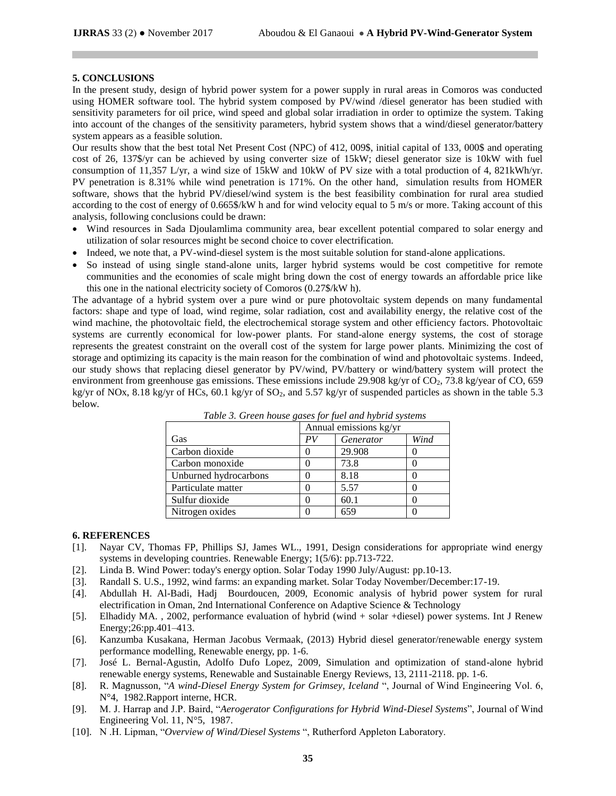# **5. CONCLUSIONS**

In the present study, design of hybrid power system for a power supply in rural areas in Comoros was conducted using HOMER software tool. The hybrid system composed by PV/wind /diesel generator has been studied with sensitivity parameters for oil price, wind speed and global solar irradiation in order to optimize the system. Taking into account of the changes of the sensitivity parameters, hybrid system shows that a wind/diesel generator/battery system appears as a feasible solution.

Our results show that the best total Net Present Cost (NPC) of 412, 009\$, initial capital of 133, 000\$ and operating cost of 26, 137\$/yr can be achieved by using converter size of 15kW; diesel generator size is 10kW with fuel consumption of 11,357 L/yr, a wind size of 15kW and 10kW of PV size with a total production of 4, 821kWh/yr. PV penetration is 8.31% while wind penetration is 171%. On the other hand, simulation results from HOMER software, shows that the hybrid PV/diesel/wind system is the best feasibility combination for rural area studied according to the cost of energy of 0.665\$/kW h and for wind velocity equal to 5 m/s or more. Taking account of this analysis, following conclusions could be drawn:

- Wind resources in Sada Djoulamlima community area, bear excellent potential compared to solar energy and utilization of solar resources might be second choice to cover electrification.
- Indeed, we note that, a PV-wind-diesel system is the most suitable solution for stand-alone applications.
- So instead of using single stand-alone units, larger hybrid systems would be cost competitive for remote communities and the economies of scale might bring down the cost of energy towards an affordable price like this one in the national electricity society of Comoros (0.27\$/kW h).

The advantage of a hybrid system over a pure wind or pure photovoltaic system depends on many fundamental factors: shape and type of load, wind regime, solar radiation, cost and availability energy, the relative cost of the wind machine, the photovoltaic field, the electrochemical storage system and other efficiency factors. Photovoltaic systems are currently economical for low-power plants. For stand-alone energy systems, the cost of storage represents the greatest constraint on the overall cost of the system for large power plants. Minimizing the cost of storage and optimizing its capacity is the main reason for the combination of wind and photovoltaic systems. Indeed, our study shows that replacing diesel generator by PV/wind, PV/battery or wind/battery system will protect the environment from greenhouse gas emissions. These emissions include 29.908 kg/yr of  $CO<sub>2</sub>$ , 73.8 kg/year of  $CO$ , 659 kg/yr of NOx, 8.18 kg/yr of HCs, 60.1 kg/yr of SO2, and 5.57 kg/yr of suspended particles as shown in the table 5.3 below.

|                       | Annual emissions kg/yr |           |      |  |  |
|-----------------------|------------------------|-----------|------|--|--|
| Gas                   | РV                     | Generator | Wind |  |  |
| Carbon dioxide        |                        | 29.908    |      |  |  |
| Carbon monoxide       |                        | 73.8      |      |  |  |
| Unburned hydrocarbons |                        | 8.18      |      |  |  |
| Particulate matter    |                        | 5.57      |      |  |  |
| Sulfur dioxide        |                        | 60.1      |      |  |  |
| Nitrogen oxides       |                        | 659       |      |  |  |

*Table 3. Green house gases for fuel and hybrid systems*

#### **6. REFERENCES**

- [1]. Nayar CV, Thomas FP, Phillips SJ, James WL., 1991, Design considerations for appropriate wind energy systems in developing countries. Renewable Energy; 1(5/6): pp.713-722.
- [2]. Linda B. Wind Power: today's energy option. Solar Today 1990 July/August: pp.10-13.
- [3]. Randall S. U.S., 1992, wind farms: an expanding market. Solar Today November/December:17-19.
- [4]. Abdullah H. Al-Badi, Hadj Bourdoucen, 2009, Economic analysis of hybrid power system for rural electrification in Oman, 2nd International Conference on Adaptive Science & Technology
- [5]. Elhadidy MA. , 2002, performance evaluation of hybrid (wind + solar +diesel) power systems. Int J Renew Energy;26:pp.401–413.
- [6]. Kanzumba Kusakana, Herman Jacobus Vermaak, (2013) Hybrid diesel generator/renewable energy system performance modelling, Renewable energy, pp. 1-6.
- [7]. José L. Bernal-Agustin, Adolfo Dufo Lopez, 2009, Simulation and optimization of stand-alone hybrid renewable energy systems, Renewable and Sustainable Energy Reviews, 13, 2111-2118. pp. 1-6.
- [8]. R. Magnusson, "*A wind-Diesel Energy System for Grimsey, Iceland* ", Journal of Wind Engineering Vol. 6, N°4, 1982.Rapport interne, HCR.
- [9]. M. J. Harrap and J.P. Baird, "*Aerogerator Configurations for Hybrid Wind-Diesel Systems*", Journal of Wind Engineering Vol. 11, N°5, 1987.
- [10]. N .H. Lipman, "*Overview of Wind/Diesel Systems* ", Rutherford Appleton Laboratory.